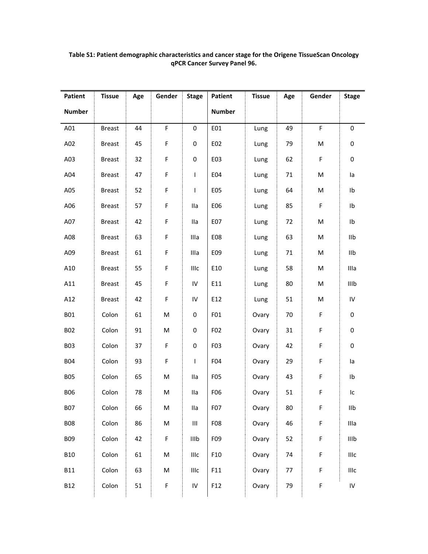|               | <b>Tissue</b> | Age | Gender      | <b>Stage</b> | Patient         | <b>Tissue</b> | Age | Gender | <b>Stage</b>            |
|---------------|---------------|-----|-------------|--------------|-----------------|---------------|-----|--------|-------------------------|
| <b>Number</b> |               |     |             |              | <b>Number</b>   |               |     |        |                         |
| A01           | <b>Breast</b> | 44  | F           | $\pmb{0}$    | E01             | Lung          | 49  | F      | 0                       |
| A02           | <b>Breast</b> | 45  | $\mathsf F$ | 0            | E02             | Lung          | 79  | M      | $\pmb{0}$               |
| A03           | <b>Breast</b> | 32  | F           | 0            | E03             | Lung          | 62  | F      | 0                       |
| A04           | <b>Breast</b> | 47  | $\mathsf F$ | L            | E04             | Lung          | 71  | M      | la                      |
| A05           | <b>Breast</b> | 52  | $\mathsf F$ | L            | E05             | Lung          | 64  | M      | Ib                      |
| A06           | <b>Breast</b> | 57  | $\mathsf F$ | Ila          | E06             | Lung          | 85  | F      | Ib                      |
| A07           | <b>Breast</b> | 42  | $\mathsf F$ | lla          | E07             | Lung          | 72  | M      | Ib                      |
| A08           | <b>Breast</b> | 63  | $\mathsf F$ | Illa         | E08             | Lung          | 63  | M      | IIb                     |
| A09           | <b>Breast</b> | 61  | $\mathsf F$ | Illa         | E09             | Lung          | 71  | M      | I1b                     |
| A10           | <b>Breast</b> | 55  | $\mathsf F$ | IIIc         | E10             | Lung          | 58  | M      | Illa                    |
| A11           | <b>Breast</b> | 45  | F           | IV           | E11             | Lung          | 80  | M      | IIIb                    |
| A12           | <b>Breast</b> | 42  | $\mathsf F$ | IV           | E12             | Lung          | 51  | M      | ${\sf IV}$              |
| <b>B01</b>    | Colon         | 61  | M           | 0            | F01             | Ovary         | 70  | F      | $\pmb{0}$               |
| <b>B02</b>    | Colon         | 91  | M           | 0            | F02             | Ovary         | 31  | F      | $\pmb{0}$               |
| <b>B03</b>    | Colon         | 37  | $\mathsf F$ | $\pmb{0}$    | F03             | Ovary         | 42  | F      | $\pmb{0}$               |
| <b>B04</b>    | Colon         | 93  | F           | L            | F <sub>04</sub> | Ovary         | 29  | F      | la                      |
| <b>B05</b>    | Colon         | 65  | M           | Ila          | F <sub>05</sub> | Ovary         | 43  | F      | Ib                      |
| <b>B06</b>    | Colon         | 78  | M           | lla          | F06             | Ovary         | 51  | F      | Ic                      |
| <b>B07</b>    | Colon         | 66  | M           | Ila          | F07             | Ovary         | 80  | F      | $\mathsf{II}\mathsf{b}$ |
| <b>B08</b>    | Colon         | 86  | M           | Ш            | F08             | Ovary         | 46  | F      | Illa                    |
| <b>B09</b>    | Colon         | 42  | $\mathsf F$ | IIIb         | F09             | Ovary         | 52  | F      | IIIb                    |
| <b>B10</b>    | Colon         | 61  | M           | IIIc         | F10             | Ovary         | 74  | F      | IIIc                    |
| <b>B11</b>    | Colon         | 63  | M           | IIIc         | F11             | Ovary         | 77  | F      | IIIc                    |
| <b>B12</b>    | Colon         | 51  | $\mathsf F$ | ${\sf IV}$   | F12             | Ovary         | 79  | F      | ${\sf IV}$              |

## **Table S1: Patient demographic characteristics and cancer stage for the Origene TissueScan Oncology qPCR Cancer Survey Panel 96.**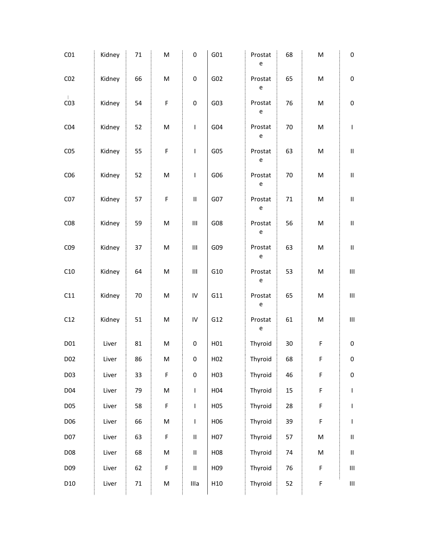| Kidney | 71     | M                                                                                                          | 0                                  | G01             | Prostat<br>$\mathsf{e}% _{0}\left( \mathsf{e}\right)$ | 68     | M                                                                                                          | 0                                                                                                                                                                                                                                                                                                                                                                                |
|--------|--------|------------------------------------------------------------------------------------------------------------|------------------------------------|-----------------|-------------------------------------------------------|--------|------------------------------------------------------------------------------------------------------------|----------------------------------------------------------------------------------------------------------------------------------------------------------------------------------------------------------------------------------------------------------------------------------------------------------------------------------------------------------------------------------|
| Kidney | 66     | M                                                                                                          | $\pmb{0}$                          | G02             | Prostat<br>${\bf e}$                                  | 65     | $\mathsf{M}% _{T}=\mathsf{M}_{T}\!\left( a,b\right) ,\ \mathsf{M}_{T}=\mathsf{M}_{T}\!\left( a,b\right) ,$ | $\pmb{0}$                                                                                                                                                                                                                                                                                                                                                                        |
| Kidney | 54     | F                                                                                                          | $\pmb{0}$                          | G03             | Prostat<br>$\mathsf{e}% _{t}\left( t\right)$          | 76     | M                                                                                                          | $\pmb{0}$                                                                                                                                                                                                                                                                                                                                                                        |
| Kidney | 52     | M                                                                                                          | $\mathsf I$                        | G04             | Prostat<br>$\mathsf{e}% _{t}\left( t\right)$          | $70\,$ | $\mathsf{M}% _{T}=\mathsf{M}_{T}\!\left( a,b\right) ,\ \mathsf{M}_{T}=\mathsf{M}_{T}\!\left( a,b\right) ,$ | $\overline{\phantom{a}}$                                                                                                                                                                                                                                                                                                                                                         |
| Kidney | 55     | F                                                                                                          | I                                  | G05             | Prostat<br>$\mathsf{e}% _{0}\left( \mathsf{e}\right)$ | 63     | $\mathsf{M}% _{T}=\mathsf{M}_{T}\!\left( a,b\right) ,\ \mathsf{M}_{T}=\mathsf{M}_{T}\!\left( a,b\right) ,$ | $\ensuremath{\mathsf{II}}$                                                                                                                                                                                                                                                                                                                                                       |
| Kidney | 52     | M                                                                                                          | I                                  | G06             | Prostat<br>$\mathsf{e}% _{t}\left( t\right)$          | $70\,$ | M                                                                                                          | $\ensuremath{\mathsf{II}}$                                                                                                                                                                                                                                                                                                                                                       |
| Kidney | 57     | F                                                                                                          | $\ensuremath{\mathsf{II}}$         | G07             | Prostat<br>$\mathsf{e}% _{0}\left( \mathsf{e}\right)$ | $71\,$ | M                                                                                                          | $\ensuremath{\mathsf{II}}\xspace$                                                                                                                                                                                                                                                                                                                                                |
| Kidney | 59     | M                                                                                                          | $\ensuremath{\mathsf{III}}\xspace$ | G08             | Prostat<br>$\mathsf{e}% _{t}\left( t\right)$          | 56     | M                                                                                                          | $\ensuremath{\mathsf{II}}$                                                                                                                                                                                                                                                                                                                                                       |
| Kidney | 37     | M                                                                                                          | $\ensuremath{\mathsf{III}}\xspace$ | G09             | Prostat<br>$\mathsf{e}% _{t}\left( t\right)$          | 63     | $\mathsf{M}% _{T}=\mathsf{M}_{T}\!\left( a,b\right) ,\ \mathsf{M}_{T}=\mathsf{M}_{T}\!\left( a,b\right) ,$ | $\ensuremath{\mathsf{II}}$                                                                                                                                                                                                                                                                                                                                                       |
| Kidney | 64     | M                                                                                                          | $\ensuremath{\mathsf{III}}\xspace$ | G10             | Prostat<br>$\mathsf{e}% _{t}\left( t\right)$          | 53     | $\mathsf{M}% _{T}=\mathsf{M}_{T}\!\left( a,b\right) ,\ \mathsf{M}_{T}=\mathsf{M}_{T}\!\left( a,b\right) ,$ | Ш                                                                                                                                                                                                                                                                                                                                                                                |
| Kidney | 70     | ${\sf M}$                                                                                                  | IV                                 | G11             | Prostat<br>$\mathsf{e}% _{t}\left( t\right)$          | 65     | $\mathsf{M}% _{T}=\mathsf{M}_{T}\!\left( a,b\right) ,\ \mathsf{M}_{T}=\mathsf{M}_{T}\!\left( a,b\right) ,$ | Ш                                                                                                                                                                                                                                                                                                                                                                                |
| Kidney | 51     | M                                                                                                          | IV                                 | G12             | Prostat<br>$\mathsf{e}% _{0}\left( \mathsf{e}\right)$ | 61     | M                                                                                                          | $\ensuremath{\mathsf{III}}\xspace$                                                                                                                                                                                                                                                                                                                                               |
| Liver  | 81     | $\mathsf{M}% _{T}=\mathsf{M}_{T}\!\left( a,b\right) ,\ \mathsf{M}_{T}=\mathsf{M}_{T}\!\left( a,b\right) ,$ | $\pmb{0}$                          | H01             | Thyroid                                               | 30     | F                                                                                                          | $\pmb{0}$                                                                                                                                                                                                                                                                                                                                                                        |
| Liver  | 86     | ${\sf M}$                                                                                                  | 0                                  | H <sub>02</sub> | Thyroid                                               | 68     | $\mathsf F$                                                                                                | $\pmb{0}$                                                                                                                                                                                                                                                                                                                                                                        |
| Liver  | 33     | F                                                                                                          | $\pmb{0}$                          | H03             | Thyroid                                               | 46     | $\mathsf F$                                                                                                | $\pmb{0}$                                                                                                                                                                                                                                                                                                                                                                        |
| Liver  | 79     | M                                                                                                          | $\mathsf I$                        | H04             | Thyroid                                               | 15     | F                                                                                                          | $\begin{array}{c} \rule{0pt}{2.5ex} \rule{0pt}{2.5ex} \rule{0pt}{2.5ex} \rule{0pt}{2.5ex} \rule{0pt}{2.5ex} \rule{0pt}{2.5ex} \rule{0pt}{2.5ex} \rule{0pt}{2.5ex} \rule{0pt}{2.5ex} \rule{0pt}{2.5ex} \rule{0pt}{2.5ex} \rule{0pt}{2.5ex} \rule{0pt}{2.5ex} \rule{0pt}{2.5ex} \rule{0pt}{2.5ex} \rule{0pt}{2.5ex} \rule{0pt}{2.5ex} \rule{0pt}{2.5ex} \rule{0pt}{2.5ex} \rule{0$ |
| Liver  | 58     | F                                                                                                          | $\mathsf I$                        | H05             | Thyroid                                               | 28     | $\mathsf F$                                                                                                | $\sf I$                                                                                                                                                                                                                                                                                                                                                                          |
| Liver  | 66     | M                                                                                                          | $\mathsf I$                        | H06             | Thyroid                                               | 39     | $\mathsf F$                                                                                                | I                                                                                                                                                                                                                                                                                                                                                                                |
| Liver  | 63     | F                                                                                                          | $\sf II$                           | H07             | Thyroid                                               | 57     | $\mathsf{M}% _{T}=\mathsf{M}_{T}\!\left( a,b\right) ,\ \mathsf{M}_{T}=\mathsf{M}_{T}\!\left( a,b\right) ,$ | $\sf II$                                                                                                                                                                                                                                                                                                                                                                         |
| Liver  | 68     | M                                                                                                          | $\sf II$                           | H08             | Thyroid                                               | 74     | $\mathsf{M}% _{T}=\mathsf{M}_{T}\!\left( a,b\right) ,\ \mathsf{M}_{T}=\mathsf{M}_{T}\!\left( a,b\right) ,$ | $\sf II$                                                                                                                                                                                                                                                                                                                                                                         |
| Liver  | 62     | F                                                                                                          | $\sf II$                           | H <sub>09</sub> | Thyroid                                               | 76     | F                                                                                                          | $\ensuremath{\mathsf{III}}\xspace$                                                                                                                                                                                                                                                                                                                                               |
| Liver  | $71\,$ | M                                                                                                          | Illa                               | H10             | Thyroid                                               | 52     | F                                                                                                          | $\ensuremath{\mathsf{III}}\xspace$                                                                                                                                                                                                                                                                                                                                               |
|        |        |                                                                                                            |                                    |                 |                                                       |        |                                                                                                            |                                                                                                                                                                                                                                                                                                                                                                                  |